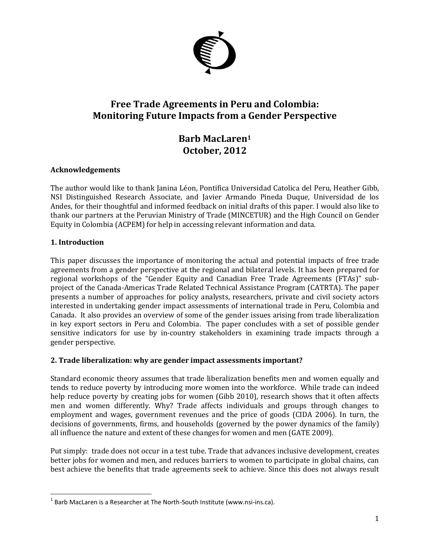

# **Free Trade Agreements in Peru and Colombia: Monitoring Future Impacts from a Gender Perspective**

# **Barb MacLaren<sup>1</sup> October, 2012**

## **Acknowledgements**

The author would like to thank Janina Léon, Pontifica Universidad Catolica del Peru, Heather Gibb, NSI Distinguished Research Associate, and Javier Armando Pineda Duque, Universidad de los Andes, for their thoughtful and informed feedback on initial drafts of this paper. I would also like to thank our partners at the Peruvian Ministry of Trade (MINCETUR) and the High Council on Gender Equity in Colombia (ACPEM) for help in accessing relevant information and data.

## **1. Introduction**

 $\overline{\phantom{a}}$ 

This paper discusses the importance of monitoring the actual and potential impacts of free trade agreements from a gender perspective at the regional and bilateral levels. It has been prepared for regional workshops of the "Gender Equity and Canadian Free Trade Agreements (FTAs)" subproject of the Canada-Americas Trade Related Technical Assistance Program (CATRTA). The paper presents a number of approaches for policy analysts, researchers, private and civil society actors interested in undertaking gender impact assessments of international trade in Peru, Colombia and Canada. It also provides an overview of some of the gender issues arising from trade liberalization in key export sectors in Peru and Colombia. The paper concludes with a set of possible gender sensitive indicators for use by in-country stakeholders in examining trade impacts through a gender perspective.

### **2. Trade liberalization: why are gender impact assessments important?**

Standard economic theory assumes that trade liberalization benefits men and women equally and tends to reduce poverty by introducing more women into the workforce. While trade can indeed help reduce poverty by creating jobs for women (Gibb 2010), research shows that it often affects men and women differently. Why? Trade affects individuals and groups through changes to employment and wages, government revenues and the price of goods (CIDA 2006). In turn, the decisions of governments, firms, and households (governed by the power dynamics of the family) all influence the nature and extent of these changes for women and men (GATE 2009).

Put simply: trade does not occur in a test tube. Trade that advances inclusive development, creates better jobs for women and men, and reduces barriers to women to participate in global chains, can best achieve the benefits that trade agreements seek to achieve. Since this does not always result

 $^1$  Barb MacLaren is a Researcher at The North-South Institute (www.nsi-ins.ca).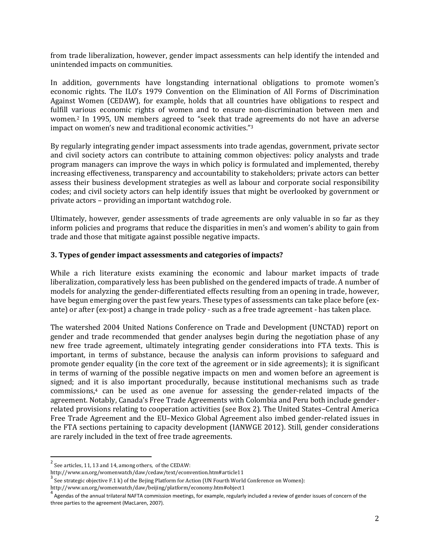from trade liberalization, however, gender impact assessments can help identify the intended and unintended impacts on communities.

In addition, governments have longstanding international obligations to promote women's economic rights. The ILO's 1979 Convention on the Elimination of All Forms of Discrimination Against Women (CEDAW), for example, holds that all countries have obligations to respect and fulfill various economic rights of women and to ensure non-discrimination between men and women. <sup>2</sup> In 1995, UN members agreed to "seek that trade agreements do not have an adverse impact on women's new and traditional economic activities."<sup>3</sup>

By regularly integrating gender impact assessments into trade agendas, government, private sector and civil society actors can contribute to attaining common objectives: policy analysts and trade program managers can improve the ways in which policy is formulated and implemented, thereby increasing effectiveness, transparency and accountability to stakeholders; private actors can better assess their business development strategies as well as labour and corporate social responsibility codes; and civil society actors can help identify issues that might be overlooked by government or private actors – providing an important watchdog role.

Ultimately, however, gender assessments of trade agreements are only valuable in so far as they inform policies and programs that reduce the disparities in men's and women's ability to gain from trade and those that mitigate against possible negative impacts.

#### **3. Types of gender impact assessments and categories of impacts?**

While a rich literature exists examining the economic and labour market impacts of trade liberalization, comparatively less has been published on the gendered impacts of trade. A number of models for analyzing the gender-differentiated effects resulting from an opening in trade, however, have begun emerging over the past few years. These types of assessments can take place before (exante) or after (ex-post) a change in trade policy - such as a free trade agreement - has taken place.

The watershed 2004 United Nations Conference on Trade and Development (UNCTAD) report on gender and trade recommended that gender analyses begin during the negotiation phase of any new free trade agreement, ultimately integrating gender considerations into FTA texts. This is important, in terms of substance, because the analysis can inform provisions to safeguard and promote gender equality (in the core text of the agreement or in side agreements); it is significant in terms of warning of the possible negative impacts on men and women before an agreement is signed; and it is also important procedurally, because institutional mechanisms such as trade commissions,<sup>4</sup> can be used as one avenue for assessing the gender-related impacts of the agreement. Notably, Canada's Free Trade Agreements with Colombia and Peru both include genderrelated provisions relating to cooperation activities (see Box 2). The United States–Central America Free Trade Agreement and the EU–Mexico Global Agreement also imbed gender-related issues in the FTA sections pertaining to capacity development (IANWGE 2012). Still, gender considerations are rarely included in the text of free trade agreements.

 $\frac{2}{3}$  See articles, 11, 13 and 14, among others, of the CEDAW:

http://www.un.org/womenwatch/daw/cedaw/text/econvention.htm#article11

 $3\overline{)}$  See strategic objective F.1 k) of the Bejing Platform for Action (UN Fourth World Conference on Women):

http://www.un.org/womenwatch/daw/beijing/platform/economy.htm#object1

<sup>4&</sup>lt;br>Agendas of the annual trilateral NAFTA commission meetings, for example, regularly included a review of gender issues of concern of the three parties to the agreement (MacLaren, 2007).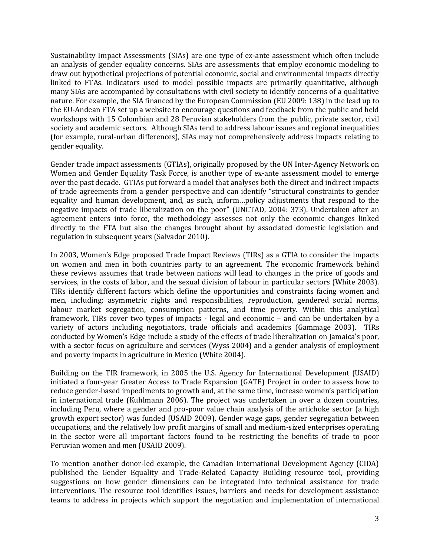Sustainability Impact Assessments (SIAs) are one type of ex-ante assessment which often include an analysis of gender equality concerns. SIAs are assessments that employ economic modeling to draw out hypothetical projections of potential economic, social and environmental impacts directly linked to FTAs. Indicators used to model possible impacts are primarily quantitative, although many SIAs are accompanied by consultations with civil society to identify concerns of a qualitative nature. For example, the SIA financed by the European Commission (EU 2009: 138) in the lead up to the EU-Andean FTA set up a website to encourage questions and feedback from the public and held workshops with 15 Colombian and 28 Peruvian stakeholders from the public, private sector, civil society and academic sectors. Although SIAs tend to address labour issues and regional inequalities (for example, rural-urban differences), SIAs may not comprehensively address impacts relating to gender equality.

Gender trade impact assessments (GTIAs), originally proposed by the UN Inter-Agency Network on Women and Gender Equality Task Force, is another type of ex-ante assessment model to emerge over the past decade. GTIAs put forward a model that analyses both the direct and indirect impacts of trade agreements from a gender perspective and can identify "structural constraints to gender equality and human development, and, as such, inform…policy adjustments that respond to the negative impacts of trade liberalization on the poor" (UNCTAD, 2004: 373). Undertaken after an agreement enters into force, the methodology assesses not only the economic changes linked directly to the FTA but also the changes brought about by associated domestic legislation and regulation in subsequent years (Salvador 2010).

In 2003, Women's Edge proposed Trade Impact Reviews (TIRs) as a GTIA to consider the impacts on women and men in both countries party to an agreement. The economic framework behind these reviews assumes that trade between nations will lead to changes in the price of goods and services, in the costs of labor, and the sexual division of labour in particular sectors (White 2003). TIRs identify different factors which define the opportunities and constraints facing women and men, including: asymmetric rights and responsibilities, reproduction, gendered social norms, labour market segregation, consumption patterns, and time poverty. Within this analytical framework, TIRs cover two types of impacts - legal and economic – and can be undertaken by a variety of actors including negotiators, trade officials and academics (Gammage 2003). TIRs conducted by Women's Edge include a study of the effects of trade liberalization on Jamaica's poor, with a sector focus on agriculture and services (Wyss 2004) and a gender analysis of employment and poverty impacts in agriculture in Mexico (White 2004).

Building on the TIR framework, in 2005 the U.S. Agency for International Development (USAID) initiated a four-year Greater Access to Trade Expansion (GATE) Project in order to assess how to reduce gender-based impediments to growth and, at the same time, increase women's participation in international trade (Kuhlmann 2006). The project was undertaken in over a dozen countries, including Peru, where a gender and pro-poor value chain analysis of the artichoke sector (a high growth export sector) was funded (USAID 2009). Gender wage gaps, gender segregation between occupations, and the relatively low profit margins of small and medium-sized enterprises operating in the sector were all important factors found to be restricting the benefits of trade to poor Peruvian women and men (USAID 2009).

To mention another donor-led example, the Canadian International Development Agency (CIDA) published the Gender Equality and Trade-Related Capacity Building resource tool, providing suggestions on how gender dimensions can be integrated into technical assistance for trade interventions. The resource tool identifies issues, barriers and needs for development assistance teams to address in projects which support the negotiation and implementation of international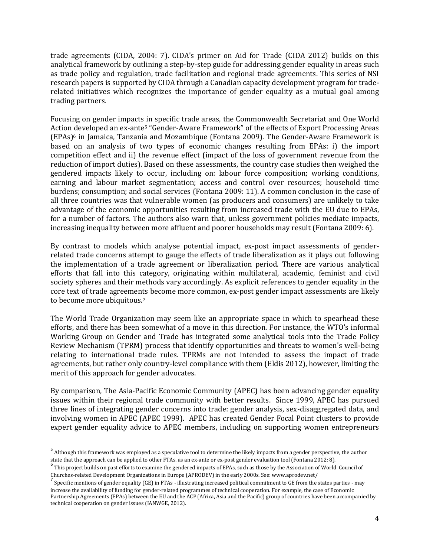trade agreements (CIDA, 2004: 7). CIDA's primer on Aid for Trade (CIDA 2012) builds on this analytical framework by outlining a step-by-step guide for addressing gender equality in areas such as trade policy and regulation, trade facilitation and regional trade agreements. This series of NSI research papers is supported by CIDA through a Canadian capacity development program for traderelated initiatives which recognizes the importance of gender equality as a mutual goal among trading partners.

Focusing on gender impacts in specific trade areas, the Commonwealth Secretariat and One World Action developed an ex-ante<sup>5</sup> "Gender-Aware Framework" of the effects of Export Processing Areas (EPAs)<sup>6</sup> in Jamaica, Tanzania and Mozambique (Fontana 2009). The Gender-Aware Framework is based on an analysis of two types of economic changes resulting from EPAs: i) the import competition effect and ii) the revenue effect (impact of the loss of government revenue from the reduction of import duties). Based on these assessments, the country case studies then weighed the gendered impacts likely to occur, including on: labour force composition; working conditions, earning and labour market segmentation; access and control over resources; household time burdens; consumption; and social services (Fontana 2009: 11). A common conclusion in the case of all three countries was that vulnerable women (as producers and consumers) are unlikely to take advantage of the economic opportunities resulting from increased trade with the EU due to EPAs, for a number of factors. The authors also warn that, unless government policies mediate impacts, increasing inequality between more affluent and poorer households may result (Fontana 2009: 6).

By contrast to models which analyse potential impact, ex-post impact assessments of genderrelated trade concerns attempt to gauge the effects of trade liberalization as it plays out following the implementation of a trade agreement or liberalization period. There are various analytical efforts that fall into this category, originating within multilateral, academic, feminist and civil society spheres and their methods vary accordingly. As explicit references to gender equality in the core text of trade agreements become more common, ex-post gender impact assessments are likely to become more ubiquitous.<sup>7</sup>

The World Trade Organization may seem like an appropriate space in which to spearhead these efforts, and there has been somewhat of a move in this direction. For instance, the WTO's informal Working Group on Gender and Trade has integrated some analytical tools into the Trade Policy Review Mechanism (TPRM) process that identify opportunities and threats to women's well-being relating to international trade rules. TPRMs are not intended to assess the impact of trade agreements, but rather only country-level compliance with them (Eldis 2012), however, limiting the merit of this approach for gender advocates.

By comparison, The Asia-Pacific Economic Community (APEC) has been advancing gender equality issues within their regional trade community with better results. Since 1999, APEC has pursued three lines of integrating gender concerns into trade: gender analysis, sex-disaggregated data, and involving women in APEC (APEC 1999). APEC has created Gender Focal Point clusters to provide expert gender equality advice to APEC members, including on supporting women entrepreneurs

 $\overline{\phantom{a}}$ 

<sup>&</sup>lt;sup>5</sup> Although this framework was employed as a speculative tool to determine the likely impacts from a gender perspective, the author

state that the approach can be applied to other FTAs, as an ex-ante or ex-post gender evaluation tool (Fontana 2012: 8).<br><sup>6</sup> This project builds on past efforts to examine the gendered impacts of EPAs, such as those by the Churches-related Development Organizations in Europe (APRODEV) in the early 2000s. See: www.aprodev.net/ 7

Specific mentions of gender equality (GE) in FTAs - illustrating increased political commitment to GE from the states parties - may increase the availability of funding for gender-related programmes of technical cooperation. For example, the case of Economic Partnership Agreements (EPAs) between the EU and the ACP (Africa, Asia and the Pacific) group of countries have been accompanied by technical cooperation on gender issues (IANWGE, 2012).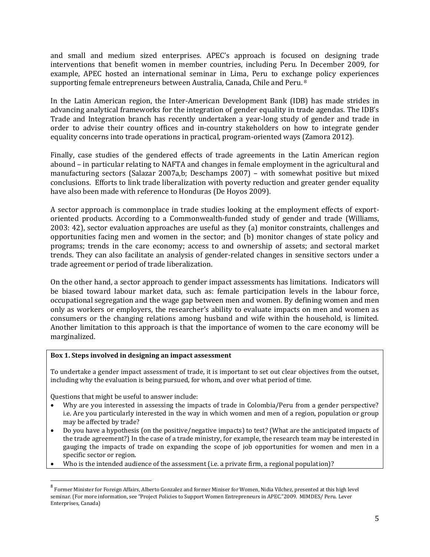and small and medium sized enterprises. APEC's approach is focused on designing trade interventions that benefit women in member countries, including Peru. In December 2009, for example, APEC hosted an international seminar in Lima, Peru to exchange policy experiences supporting female entrepreneurs between Australia, Canada, Chile and Peru. 8

In the Latin American region, the Inter-American Development Bank (IDB) has made strides in advancing analytical frameworks for the integration of gender equality in trade agendas. The IDB's Trade and Integration branch has recently undertaken a year-long study of gender and trade in order to advise their country offices and in-country stakeholders on how to integrate gender equality concerns into trade operations in practical, program-oriented ways (Zamora 2012).

Finally, case studies of the gendered effects of trade agreements in the Latin American region abound – in particular relating to NAFTA and changes in female employment in the agricultural and manufacturing sectors (Salazar 2007a,b; Deschamps 2007) – with somewhat positive but mixed conclusions. Efforts to link trade liberalization with poverty reduction and greater gender equality have also been made with reference to Honduras (De Hoyos 2009).

A sector approach is commonplace in trade studies looking at the employment effects of exportoriented products. According to a Commonwealth-funded study of gender and trade (Williams, 2003: 42), sector evaluation approaches are useful as they (a) monitor constraints, challenges and opportunities facing men and women in the sector; and (b) monitor changes of state policy and programs; trends in the care economy; access to and ownership of assets; and sectoral market trends. They can also facilitate an analysis of gender-related changes in sensitive sectors under a trade agreement or period of trade liberalization.

On the other hand, a sector approach to gender impact assessments has limitations. Indicators will be biased toward labour market data, such as: female participation levels in the labour force, occupational segregation and the wage gap between men and women. By defining women and men only as workers or employers, the researcher's ability to evaluate impacts on men and women as consumers or the changing relations among husband and wife within the household, is limited. Another limitation to this approach is that the importance of women to the care economy will be marginalized.

#### **Box 1. Steps involved in designing an impact assessment**

To undertake a gender impact assessment of trade, it is important to set out clear objectives from the outset, including why the evaluation is being pursued, for whom, and over what period of time.

Questions that might be useful to answer include:

 $\overline{\phantom{a}}$ 

- Why are you interested in assessing the impacts of trade in Colombia/Peru from a gender perspective? i.e. Are you particularly interested in the way in which women and men of a region, population or group may be affected by trade?
- Do you have a hypothesis (on the positive/negative impacts) to test? (What are the anticipated impacts of the trade agreement?) In the case of a trade ministry, for example, the research team may be interested in gauging the impacts of trade on expanding the scope of job opportunities for women and men in a specific sector or region.
- Who is the intended audience of the assessment (i.e. a private firm, a regional population)?

<sup>&</sup>lt;sup>8</sup> Former Minister for Foreign Affairs, Alberto Gonzalez and former Miniser for Women, Nidia Vilchez, presented at this high level seminar. (For more information, see "Project Policies to Support Women Entrepreneurs in APEC."2009. MIMDES/ Peru. Lever Enterprises, Canada)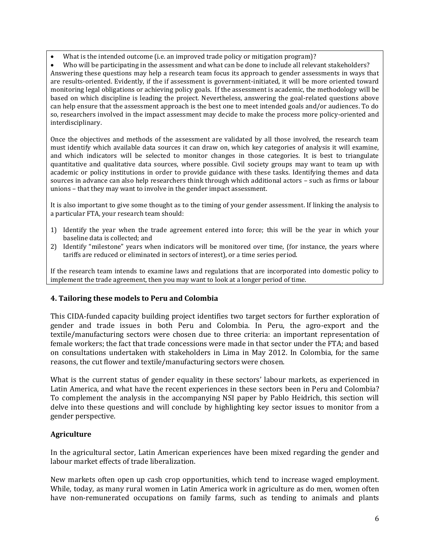What is the intended outcome (i.e. an improved trade policy or mitigation program)?

 Who will be participating in the assessment and what can be done to include all relevant stakeholders? Answering these questions may help a research team focus its approach to gender assessments in ways that are results-oriented. Evidently, if the if assessment is government-initiated, it will be more oriented toward monitoring legal obligations or achieving policy goals. If the assessment is academic, the methodology will be based on which discipline is leading the project. Nevertheless, answering the goal-related questions above can help ensure that the assessment approach is the best one to meet intended goals and/or audiences. To do so, researchers involved in the impact assessment may decide to make the process more policy-oriented and interdisciplinary.

Once the objectives and methods of the assessment are validated by all those involved, the research team must identify which available data sources it can draw on, which key categories of analysis it will examine, and which indicators will be selected to monitor changes in those categories. It is best to triangulate quantitative and qualitative data sources, where possible. Civil society groups may want to team up with academic or policy institutions in order to provide guidance with these tasks. Identifying themes and data sources in advance can also help researchers think through which additional actors – such as firms or labour unions – that they may want to involve in the gender impact assessment.

It is also important to give some thought as to the timing of your gender assessment. If linking the analysis to a particular FTA, your research team should:

- 1) Identify the year when the trade agreement entered into force; this will be the year in which your baseline data is collected; and
- 2) Identify "milestone" years when indicators will be monitored over time, (for instance, the years where tariffs are reduced or eliminated in sectors of interest), or a time series period.

If the research team intends to examine laws and regulations that are incorporated into domestic policy to implement the trade agreement, then you may want to look at a longer period of time.

# **4. Tailoring these models to Peru and Colombia**

This CIDA-funded capacity building project identifies two target sectors for further exploration of gender and trade issues in both Peru and Colombia. In Peru, the agro-export and the textile/manufacturing sectors were chosen due to three criteria: an important representation of female workers; the fact that trade concessions were made in that sector under the FTA; and based on consultations undertaken with stakeholders in Lima in May 2012. In Colombia, for the same reasons, the cut flower and textile/manufacturing sectors were chosen.

What is the current status of gender equality in these sectors' labour markets, as experienced in Latin America, and what have the recent experiences in these sectors been in Peru and Colombia? To complement the analysis in the accompanying NSI paper by Pablo Heidrich, this section will delve into these questions and will conclude by highlighting key sector issues to monitor from a gender perspective.

### **Agriculture**

In the agricultural sector, Latin American experiences have been mixed regarding the gender and labour market effects of trade liberalization.

New markets often open up cash crop opportunities, which tend to increase waged employment. While, today, as many rural women in Latin America work in agriculture as do men, women often have non-remunerated occupations on family farms, such as tending to animals and plants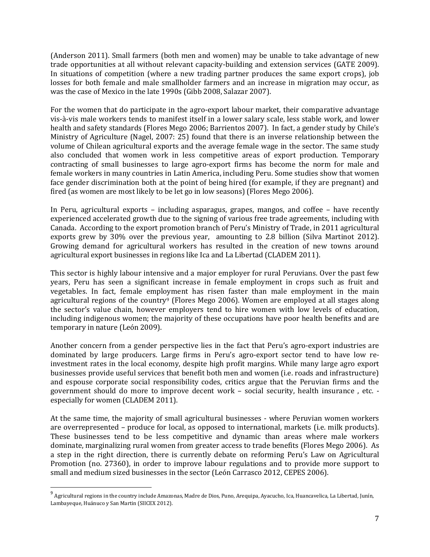(Anderson 2011). Small farmers (both men and women) may be unable to take advantage of new trade opportunities at all without relevant capacity-building and extension services (GATE 2009). In situations of competition (where a new trading partner produces the same export crops), job losses for both female and male smallholder farmers and an increase in migration may occur, as was the case of Mexico in the late 1990s (Gibb 2008, Salazar 2007).

For the women that do participate in the agro-export labour market, their comparative advantage vis-à-vis male workers tends to manifest itself in a lower salary scale, less stable work, and lower health and safety standards (Flores Mego 2006; Barrientos 2007). In fact, a gender study by Chile's Ministry of Agriculture (Nagel, 2007: 25) found that there is an inverse relationship between the volume of Chilean agricultural exports and the average female wage in the sector. The same study also concluded that women work in less competitive areas of export production. Temporary contracting of small businesses to large agro-export firms has become the norm for male and female workers in many countries in Latin America, including Peru. Some studies show that women face gender discrimination both at the point of being hired (for example, if they are pregnant) and fired (as women are most likely to be let go in low seasons) (Flores Mego 2006).

In Peru, agricultural exports – including asparagus, grapes, mangos, and coffee – have recently experienced accelerated growth due to the signing of various free trade agreements, including with Canada. According to the export promotion branch of Peru's Ministry of Trade, in 2011 agricultural exports grew by 30% over the previous year, amounting to 2.8 billion (Silva Martinot 2012). Growing demand for agricultural workers has resulted in the creation of new towns around agricultural export businesses in regions like Ica and La Libertad (CLADEM 2011).

This sector is highly labour intensive and a major employer for rural Peruvians. Over the past few years, Peru has seen a significant increase in female employment in crops such as fruit and vegetables. In fact, female employment has risen faster than male employment in the main agricultural regions of the country<sup>9</sup> (Flores Mego 2006). Women are employed at all stages along the sector's value chain, however employers tend to hire women with low levels of education, including indigenous women; the majority of these occupations have poor health benefits and are temporary in nature (León 2009).

Another concern from a gender perspective lies in the fact that Peru's agro-export industries are dominated by large producers. Large firms in Peru's agro-export sector tend to have low reinvestment rates in the local economy, despite high profit margins. While many large agro export businesses provide useful services that benefit both men and women (i.e. roads and infrastructure) and espouse corporate social responsibility codes, critics argue that the Peruvian firms and the government should do more to improve decent work – social security, health insurance , etc. especially for women (CLADEM 2011).

At the same time, the majority of small agricultural businesses - where Peruvian women workers are overrepresented – produce for local, as opposed to international, markets (i.e. milk products). These businesses tend to be less competitive and dynamic than areas where male workers dominate, marginalizing rural women from greater access to trade benefits (Flores Mego 2006). As a step in the right direction, there is currently debate on reforming Peru's Law on Agricultural Promotion (no. 27360), in order to improve labour regulations and to provide more support to small and medium sized businesses in the sector (León Carrasco 2012, CEPES 2006).

 9 Agricultural regions in the country include Amazonas, Madre de Dios, Puno, Arequipa, Ayacucho, Ica, Huancavelica, La Libertad, Junín, Lambayeque, Huánuco y San Martin (SIICEX 2012).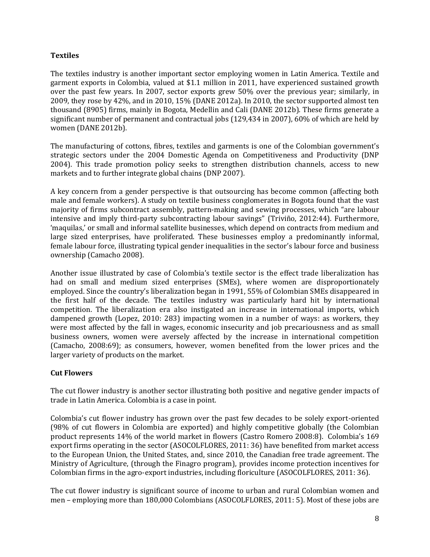### **Textiles**

The textiles industry is another important sector employing women in Latin America. Textile and garment exports in Colombia, valued at \$1.1 million in 2011, have experienced sustained growth over the past few years. In 2007, sector exports grew 50% over the previous year; similarly, in 2009, they rose by 42%, and in 2010, 15% (DANE 2012a). In 2010, the sector supported almost ten thousand (8905) firms, mainly in Bogota, Medellin and Cali (DANE 2012b). These firms generate a significant number of permanent and contractual jobs (129,434 in 2007), 60% of which are held by women (DANE 2012b).

The manufacturing of cottons, fibres, textiles and garments is one of the Colombian government's strategic sectors under the 2004 Domestic Agenda on Competitiveness and Productivity (DNP 2004). This trade promotion policy seeks to strengthen distribution channels, access to new markets and to further integrate global chains (DNP 2007).

A key concern from a gender perspective is that outsourcing has become common (affecting both male and female workers). A study on textile business conglomerates in Bogota found that the vast majority of firms subcontract assembly, pattern-making and sewing processes, which "are labour intensive and imply third-party subcontracting labour savings" (Triviño, 2012:44). Furthermore, 'maquilas,' or small and informal satellite businesses, which depend on contracts from medium and large sized enterprises, have proliferated. These businesses employ a predominantly informal, female labour force, illustrating typical gender inequalities in the sector's labour force and business ownership (Camacho 2008).

Another issue illustrated by case of Colombia's textile sector is the effect trade liberalization has had on small and medium sized enterprises (SMEs), where women are disproportionately employed. Since the country's liberalization began in 1991, 55% of Colombian SMEs disappeared in the first half of the decade. The textiles industry was particularly hard hit by international competition. The liberalization era also instigated an increase in international imports, which dampened growth (Lopez, 2010: 283) impacting women in a number of ways: as workers, they were most affected by the fall in wages, economic insecurity and job precariousness and as small business owners, women were aversely affected by the increase in international competition (Camacho, 2008:69); as consumers, however, women benefited from the lower prices and the larger variety of products on the market.

### **Cut Flowers**

The cut flower industry is another sector illustrating both positive and negative gender impacts of trade in Latin America. Colombia is a case in point.

Colombia's cut flower industry has grown over the past few decades to be solely export-oriented (98% of cut flowers in Colombia are exported) and highly competitive globally (the Colombian product represents 14% of the world market in flowers (Castro Romero 2008:8). Colombia's 169 export firms operating in the sector (ASOCOLFLORES, 2011: 36) have benefited from market access to the European Union, the United States, and, since 2010, the Canadian free trade agreement. The Ministry of Agriculture, (through the Finagro program), provides income protection incentives for Colombian firms in the agro-export industries, including floriculture (ASOCOLFLORES, 2011: 36).

The cut flower industry is significant source of income to urban and rural Colombian women and men – employing more than 180,000 Colombians (ASOCOLFLORES, 2011: 5). Most of these jobs are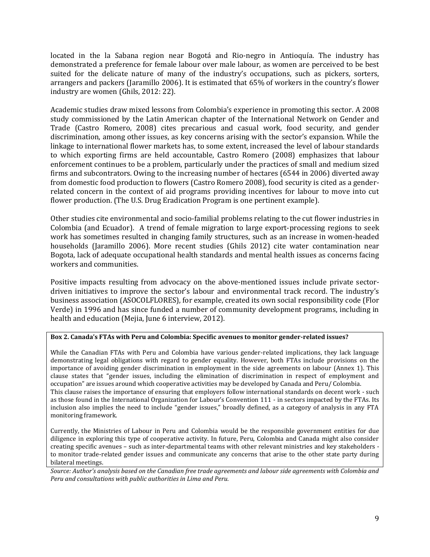located in the la Sabana region near Bogotá and Rio-negro in Antioquía. The industry has demonstrated a preference for female labour over male labour, as women are perceived to be best suited for the delicate nature of many of the industry's occupations, such as pickers, sorters, arrangers and packers (Jaramillo 2006). It is estimated that 65% of workers in the country's flower industry are women (Ghils, 2012: 22).

Academic studies draw mixed lessons from Colombia's experience in promoting this sector. A 2008 study commissioned by the Latin American chapter of the International Network on Gender and Trade (Castro Romero, 2008) cites precarious and casual work, food security, and gender discrimination, among other issues, as key concerns arising with the sector's expansion. While the linkage to international flower markets has, to some extent, increased the level of labour standards to which exporting firms are held accountable, Castro Romero (2008) emphasizes that labour enforcement continues to be a problem, particularly under the practices of small and medium sized firms and subcontrators. Owing to the increasing number of hectares (6544 in 2006) diverted away from domestic food production to flowers (Castro Romero 2008), food security is cited as a genderrelated concern in the context of aid programs providing incentives for labour to move into cut flower production. (The U.S. Drug Eradication Program is one pertinent example).

Other studies cite environmental and socio-familial problems relating to the cut flower industries in Colombia (and Ecuador). A trend of female migration to large export-processing regions to seek work has sometimes resulted in changing family structures, such as an increase in women-headed households (Jaramillo 2006). More recent studies (Ghils 2012) cite water contamination near Bogota, lack of adequate occupational health standards and mental health issues as concerns facing workers and communities.

Positive impacts resulting from advocacy on the above-mentioned issues include private sectordriven initiatives to improve the sector's labour and environmental track record. The industry's business association (ASOCOLFLORES), for example, created its own social responsibility code (Flor Verde) in 1996 and has since funded a number of community development programs, including in health and education (Mejia, June 6 interview, 2012).

#### **Box 2. Canada's FTAs with Peru and Colombia: Specific avenues to monitor gender-related issues?**

While the Canadian FTAs with Peru and Colombia have various gender-related implications, they lack language demonstrating legal obligations with regard to gender equality. However, both FTAs include provisions on the importance of avoiding gender discrimination in employment in the side agreements on labour (Annex 1). This clause states that "gender issues, including the elimination of discrimination in respect of employment and occupation" are issues around which cooperative activities may be developed by Canada and Peru/ Colombia. This clause raises the importance of ensuring that employers follow international standards on decent work - such as those found in the International Organization for Labour's Convention 111 - in sectors impacted by the FTAs. Its inclusion also implies the need to include "gender issues," broadly defined, as a category of analysis in any FTA monitoring framework.

Currently, the Ministries of Labour in Peru and Colombia would be the responsible government entities for due diligence in exploring this type of cooperative activity. In future, Peru, Colombia and Canada might also consider creating specific avenues – such as inter-departmental teams with other relevant ministries and key stakeholders to monitor trade-related gender issues and communicate any concerns that arise to the other state party during bilateral meetings.

*Source: Author's analysis based on the Canadian free trade agreements and labour side agreements with Colombia and Peru and consultations with public authorities in Lima and Peru.*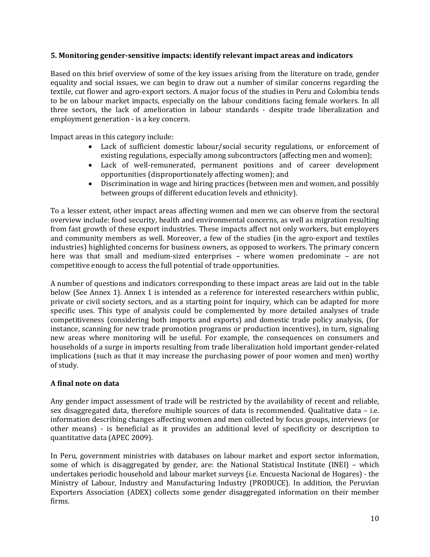#### **5. Monitoring gender-sensitive impacts: identify relevant impact areas and indicators**

Based on this brief overview of some of the key issues arising from the literature on trade, gender equality and social issues, we can begin to draw out a number of similar concerns regarding the textile, cut flower and agro-export sectors. A major focus of the studies in Peru and Colombia tends to be on labour market impacts, especially on the labour conditions facing female workers. In all three sectors, the lack of amelioration in labour standards - despite trade liberalization and employment generation - is a key concern.

Impact areas in this category include:

- Lack of sufficient domestic labour/social security regulations, or enforcement of existing regulations, especially among subcontractors (affecting men and women);
- Lack of well-remunerated, permanent positions and of career development opportunities (disproportionately affecting women); and
- Discrimination in wage and hiring practices (between men and women, and possibly between groups of different education levels and ethnicity).

To a lesser extent, other impact areas affecting women and men we can observe from the sectoral overview include: food security, health and environmental concerns, as well as migration resulting from fast growth of these export industries. These impacts affect not only workers, but employers and community members as well. Moreover, a few of the studies (in the agro-export and textiles industries) highlighted concerns for business owners, as opposed to workers. The primary concern here was that small and medium-sized enterprises – where women predominate – are not competitive enough to access the full potential of trade opportunities.

A number of questions and indicators corresponding to these impact areas are laid out in the table below (See Annex 1). Annex 1 is intended as a reference for interested researchers within public, private or civil society sectors, and as a starting point for inquiry, which can be adapted for more specific uses. This type of analysis could be complemented by more detailed analyses of trade competitiveness (considering both imports and exports) and domestic trade policy analysis, (for instance, scanning for new trade promotion programs or production incentives), in turn, signaling new areas where monitoring will be useful. For example, the consequences on consumers and households of a surge in imports resulting from trade liberalization hold important gender-related implications (such as that it may increase the purchasing power of poor women and men) worthy of study.

### **A final note on data**

Any gender impact assessment of trade will be restricted by the availability of recent and reliable, sex disaggregated data, therefore multiple sources of data is recommended. Qualitative data – i.e. information describing changes affecting women and men collected by focus groups, interviews (or other means) - is beneficial as it provides an additional level of specificity or description to quantitative data (APEC 2009).

In Peru, government ministries with databases on labour market and export sector information, some of which is disaggregated by gender, are: the National Statistical Institute (INEI) – which undertakes periodic household and labour market surveys (i.e. Encuesta Nacional de Hogares) - the Ministry of Labour, Industry and Manufacturing Industry (PRODUCE). In addition, the Peruvian Exporters Association (ADEX) collects some gender disaggregated information on their member firms.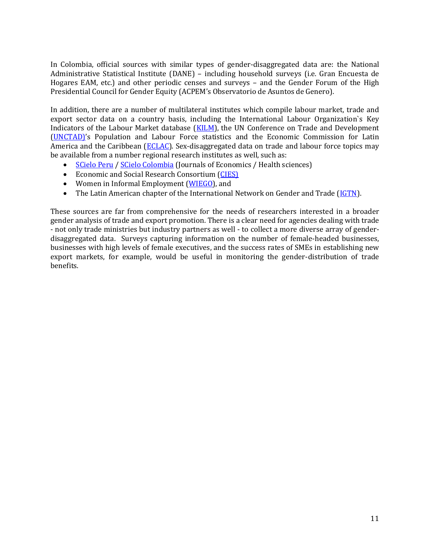In Colombia, official sources with similar types of gender-disaggregated data are: the National Administrative Statistical Institute [\(DANE\)](http://www.dane.gov.co/) – including household surveys (i.e. Gran Encuesta de Hogares EAM, etc.) and other periodic censes and surveys – and the Gender Forum of the High Presidential Council for Gender Equit[y \(ACPEM](file:///C:/Users/owner/AppData/Local/Temp/Temp1_paperdraftsandadvisorsresources.zip/•%09http:/www.equidadmujer.gov.co/Paginas/ACPEM.aspx)'s Observatorio de Asuntos de Genero).

In addition, there are a number of multilateral institutes which compile labour market, trade and export sector data on a country basis, including the International Labour Organization`s Key Indicators of the Labour Market database [\(KILM\)](http://www.ilo.org/empelm/what/WCMS_114240/lang--en/index.htm), the UN Conference on Trade and Development [\(UNCTAD\)](http://unctadstat.unctad.org/)'s Population and Labour Force statistics and the Economic Commission for Latin America and the Caribbean [\(ECLAC\)](http://www.cepal.org/mujer/). Sex-disaggregated data on trade and labour force topics may be available from a number regional research institutes as well, such as:

- [SCielo Peru](http://www.scielo.org.pe/scielo.php?script=sci_home&lng=en&nrm=iso) / [SCielo Colombia](http://www.scielo.org.co/) (Journals of Economics / Health sciences)
- Economic and Social Research Consortium [\(CIES\)](http://cies.org.pe/)
- Women in Informal Employment [\(WIEGO\)](http://wiego.org/wiego/wiego-enews-august-2012), and
- The Latin American chapter of the International Network on Gender and Trade [\(IGTN\)](http://www.igtn.org/home/index.php?view=article&catid=108%3Alatin-america&id=76%3Alatin-american-gender-and-trade-network-resources&option=com_content&Itemid=121).

These sources are far from comprehensive for the needs of researchers interested in a broader gender analysis of trade and export promotion. There is a clear need for agencies dealing with trade - not only trade ministries but industry partners as well - to collect a more diverse array of genderdisaggregated data. Surveys capturing information on the number of female-headed businesses, businesses with high levels of female executives, and the success rates of SMEs in establishing new export markets, for example, would be useful in monitoring the gender-distribution of trade benefits.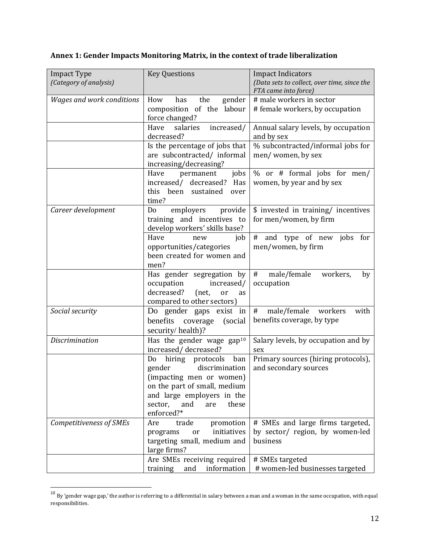# **Annex 1: Gender Impacts Monitoring Matrix, in the context of trade liberalization**

|                                              |                                                               | <b>Impact Indicators</b>                           |
|----------------------------------------------|---------------------------------------------------------------|----------------------------------------------------|
| <b>Impact Type</b><br>(Category of analysis) | <b>Key Questions</b>                                          | (Data sets to collect, over time, since the        |
|                                              |                                                               | FTA came into force)                               |
| <b>Wages and work conditions</b>             | How<br>the<br>has<br>gender                                   | # male workers in sector                           |
|                                              |                                                               |                                                    |
|                                              | composition of the<br>labour                                  | # female workers, by occupation                    |
|                                              | force changed?                                                |                                                    |
|                                              | salaries<br>Have<br>increased/                                | Annual salary levels, by occupation                |
|                                              | decreased?                                                    | and by sex                                         |
|                                              | Is the percentage of jobs that                                | % subcontracted/informal jobs for                  |
|                                              | are subcontracted/ informal                                   | men/women, by sex                                  |
|                                              | increasing/decreasing?                                        |                                                    |
|                                              | Have<br>jobs<br>permanent                                     | % or # formal jobs for men/                        |
|                                              | increased/ decreased?<br>Has                                  | women, by year and by sex                          |
|                                              | this been sustained<br>over                                   |                                                    |
|                                              | time?                                                         |                                                    |
| Career development                           | employers<br>provide<br>Do                                    | \$ invested in training/ incentives                |
|                                              | training and incentives to                                    | for men/women, by firm                             |
|                                              | develop workers' skills base?                                 |                                                    |
|                                              | Have<br>job<br>new                                            | # and type of new jobs for                         |
|                                              | opportunities/categories                                      | men/women, by firm                                 |
|                                              | been created for women and                                    |                                                    |
|                                              | men?                                                          |                                                    |
|                                              | Has gender segregation by                                     | #<br>male/female<br>workers,<br>by                 |
|                                              | occupation<br>increased/                                      | occupation                                         |
|                                              | decreased?<br>(net,<br>or<br>as                               |                                                    |
|                                              | compared to other sectors)                                    |                                                    |
| Social security                              | Do gender gaps exist in                                       | male/female workers<br>#<br>with                   |
|                                              | benefits<br>coverage<br>(social)                              | benefits coverage, by type                         |
|                                              | security/health)?                                             |                                                    |
| <b>Discrimination</b>                        | Has the gender wage gap <sup>10</sup>                         | Salary levels, by occupation and by                |
|                                              | increased/decreased?                                          | sex                                                |
|                                              | hiring protocols<br>ban<br>Do                                 | Primary sources (hiring protocols),                |
|                                              | discrimination<br>gender                                      | and secondary sources                              |
|                                              | (impacting men or women)                                      |                                                    |
|                                              | on the part of small, medium                                  |                                                    |
|                                              | and large employers in the                                    |                                                    |
|                                              |                                                               |                                                    |
|                                              | sector,<br>and<br>these<br>are                                |                                                    |
|                                              | enforced?*                                                    |                                                    |
| Competitiveness of SMEs                      | trade<br>Are<br>promotion                                     | # SMEs and large firms targeted,                   |
|                                              | initiatives<br>programs<br>or                                 | by sector/ region, by women-led                    |
|                                              | targeting small, medium and                                   | business                                           |
|                                              | large firms?                                                  |                                                    |
|                                              |                                                               |                                                    |
|                                              | Are SMEs receiving required<br>information<br>training<br>and | # SMEs targeted<br># women-led businesses targeted |

 $^{10}$  By 'gender wage gap,' the author is referring to a differential in salary between a man and a woman in the same occupation, with equal responsibilities.

 $\overline{\phantom{a}}$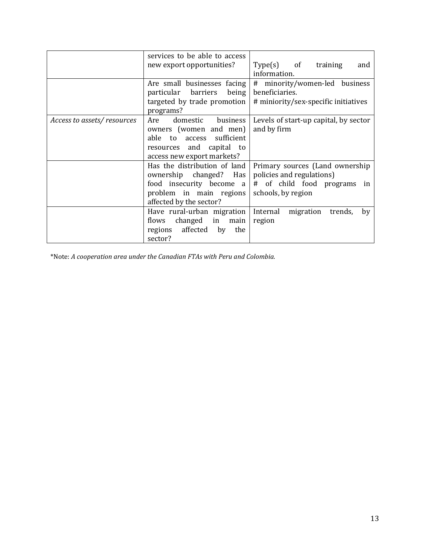|                            | services to be able to access<br>new export opportunities?                                                                                   | $Type(s)$ of<br>training<br>and<br>information.                                                                    |
|----------------------------|----------------------------------------------------------------------------------------------------------------------------------------------|--------------------------------------------------------------------------------------------------------------------|
|                            | Are small businesses facing<br>particular barriers being<br>targeted by trade promotion<br>programs?                                         | # minority/women-led business<br>beneficiaries.<br># miniority/sex-specific initiatives                            |
| Access to assets/resources | Are<br>domestic<br>business<br>owners (women and men)<br>able to access sufficient<br>resources and capital to<br>access new export markets? | Levels of start-up capital, by sector<br>and by firm                                                               |
|                            | Has the distribution of land<br>ownership changed? Has<br>food insecurity become a<br>problem in main regions<br>affected by the sector?     | Primary sources (Land ownership)<br>policies and regulations)<br># of child food programs in<br>schools, by region |
|                            | Have rural-urban migration<br>flows changed in<br>main<br>regions affected by<br>the<br>sector?                                              | Internal migration<br>trends,<br>by<br>region                                                                      |

\*Note: *A cooperation area under the Canadian FTAs with Peru and Colombia.*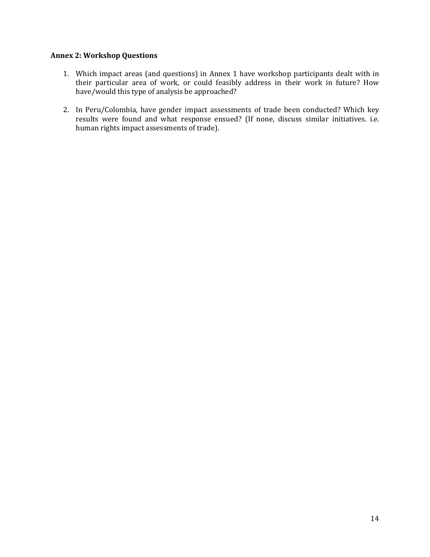#### **Annex 2: Workshop Questions**

- 1. Which impact areas (and questions) in Annex 1 have workshop participants dealt with in their particular area of work, or could feasibly address in their work in future? How have/would this type of analysis be approached?
- 2. In Peru/Colombia, have gender impact assessments of trade been conducted? Which key results were found and what response ensued? (If none, discuss similar initiatives. i.e. human rights impact assessments of trade).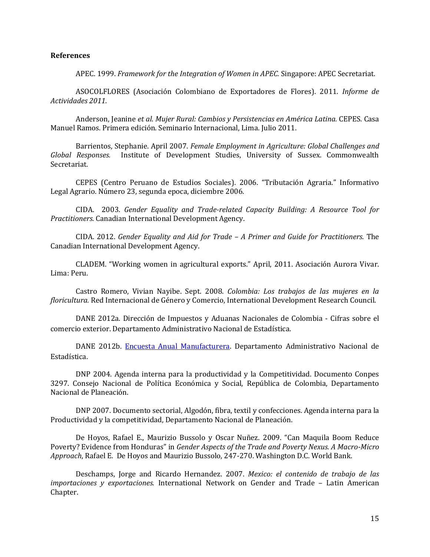#### **References**

APEC. 1999. *Framework for the Integration of Women in APEC.* Singapore: APEC Secretariat.

ASOCOLFLORES (Asociación Colombiano de Exportadores de Flores). 2011. *Informe de Actividades 2011.*

Anderson, Jeanine *et al*. *Mujer Rural: Cambios y Persistencias en América Latina.* CEPES. Casa Manuel Ramos. Primera edición. Seminario Internacional, Lima. Julio 2011.

Barrientos, Stephanie. April 2007. *Female Employment in Agriculture: Global Challenges and Global Responses.* Institute of Development Studies, University of Sussex. Commonwealth Secretariat.

CEPES (Centro Peruano de Estudios Sociales). 2006. "Tributación Agraria." Informativo Legal Agrario. Número 23, segunda epoca, diciembre 2006.

CIDA. 2003. *Gender Equality and Trade-related Capacity Building: A Resource Tool for Practitioners.* Canadian International Development Agency.

CIDA. 2012. *Gender Equality and Aid for Trade – A Primer and Guide for Practitioners.* The Canadian International Development Agency.

CLADEM. "Working women in agricultural exports." April, 2011. Asociación Aurora Vivar. Lima: Peru.

Castro Romero, Vivian Nayibe. Sept. 2008. *Colombia: Los trabajos de las mujeres en la floricultura.* Red Internacional de Género y Comercio, International Development Research Council.

DANE 2012a. Dirección de Impuestos y Aduanas Nacionales de Colombia - Cifras sobre el comercio exterior. Departamento Administrativo Nacional de Estadística.

DANE 2012b. [Encuesta Anual Manufacturera.](http://190.25.231.249/encuestas/eam/ceam2007/c4_1_07.XLS) Departamento Administrativo Nacional de Estadística.

DNP 2004. Agenda interna para la productividad y la Competitividad. Documento Conpes 3297. Consejo Nacional de Política Económica y Social, República de Colombia, Departamento Nacional de Planeación.

DNP 2007. Documento sectorial, Algodón, fibra, textil y confecciones. Agenda interna para la Productividad y la competitividad, Departamento Nacional de Planeación.

De Hoyos, Rafael E., Maurizio Bussolo y Oscar Nuñez. 2009. "Can Maquila Boom Reduce Poverty? Evidence from Honduras" in *Gender Aspects of the Trade and Poverty Nexus. A Macro-Micro Approach*, Rafael E. De Hoyos and Maurizio Bussolo, 247-270. Washington D.C. World Bank.

Deschamps, Jorge and Ricardo Hernandez. 2007. *Mexico: el contenido de trabajo de las importaciones y exportaciones.* International Network on Gender and Trade – Latin American Chapter.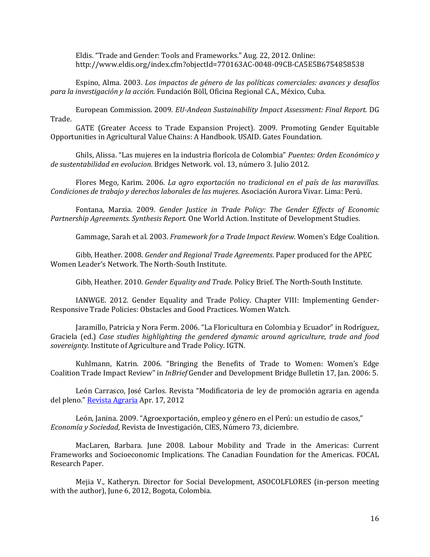Eldis. "Trade and Gender: Tools and Frameworks." Aug. 22, 2012. Online: http://www.eldis.org/index.cfm?objectId=770163AC-0048-09CB-CA5E5B6754858538

Espino, Alma. 2003. *Los impactos de género de las políticas comerciales: avances y desafíos para la investigación y la acción.* Fundación Böll, Oficina Regional C.A., México, Cuba.

European Commission. 2009. *EU-Andean Sustainability Impact Assessment: Final Report.* DG Trade.

GATE (Greater Access to Trade Expansion Project). 2009. Promoting Gender Equitable Opportunities in Agricultural Value Chains: A Handbook. USAID. Gates Foundation.

Ghils, Alissa. "Las mujeres en la industria florícola de Colombia" *Puentes: Orden Económico y de sustentabilidad en evolucion*. Bridges Network. vol. 13, número 3. Julio 2012.

Flores Mego, Karim. 2006. *La agro exportación no tradicional en el país de las maravillas. Condiciones de trabajo y derechos laborales de las mujeres*. Asociación Aurora Vivar. Lima: Perú.

Fontana, Marzia. 2009. *Gender Justice in Trade Policy: The Gender Effects of Economic Partnership Agreements. Synthesis Report.* One World Action. Institute of Development Studies.

Gammage, Sarah et al. 2003. *Framework for a Trade Impact Review.* Women's Edge Coalition.

Gibb, Heather. 2008. *Gender and Regional Trade Agreements*. Paper produced for the APEC Women Leader's Network. The North-South Institute.

Gibb, Heather. 2010. *Gender Equality and Trade.* Policy Brief. The North-South Institute.

IANWGE. 2012. Gender Equality and Trade Policy. Chapter VIII: Implementing Gender-Responsive Trade Policies: Obstacles and Good Practices. Women Watch.

Jaramillo, Patricia y Nora Ferm. 2006. "La Floricultura en Colombia y Ecuador" in Rodríguez, Graciela (ed.) *Case studies highlighting the gendered dynamic around agriculture, trade and food sovereignty.* Institute of Agriculture and Trade Policy. IGTN.

Kuhlmann, Katrin. 2006. "Bringing the Benefits of Trade to Women: Women's Edge Coalition Trade Impact Review" in *InBrief* Gender and Development Bridge Bulletin 17, Jan. 2006: 5.

León Carrasco, José Carlos. Revista "Modificatoria de ley de promoción agraria en agenda del pleno." [Revista Agraria](http://www.agraria.pe/noticias/modificatoria-de-ley-de-promocion-agraria-en-agenda-del-pleno) Apr. 17, 2012

León, Janina. 2009. "Agroexportación, empleo y género en el Perú: un estudio de casos," *Economía y Sociedad*, Revista de Investigación, CIES, Número 73, diciembre.

MacLaren, Barbara. June 2008. Labour Mobility and Trade in the Americas: Current Frameworks and Socioeconomic Implications. The Canadian Foundation for the Americas. FOCAL Research Paper.

Mejia V., Katheryn. Director for Social Development, ASOCOLFLORES (in-person meeting with the author), June 6, 2012, Bogota, Colombia.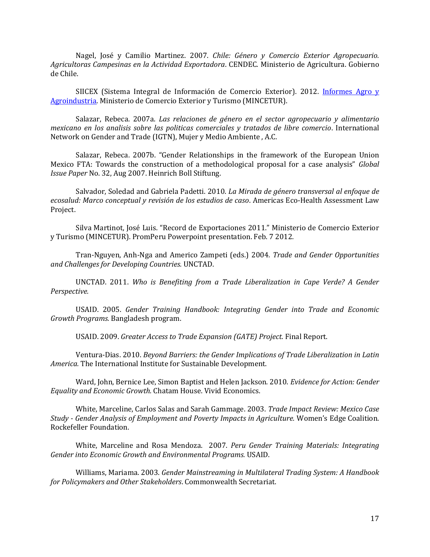Nagel, José y Camilio Martinez. 2007. *Chile: Género y Comercio Exterior Agropecuario. Agricultoras Campesinas en la Actividad Exportadora*. CENDEC. Ministerio de Agricultura. Gobierno de Chile.

SIICEX (Sistema Integral de Información de Comercio Exterior). 2012. Informes Agro y [Agroindustria.](http://www.siicex.gob.pe/siicex/portal5ES.asp?_page_=396.39500#anclafechahttp://promperu.gob.pe/) Ministerio de Comercio Exterior y Turismo (MINCETUR).

Salazar, Rebeca. 2007a. *Las relaciones de género en el sector agropecuario y alimentario mexicano en los analisis sobre las politicas comerciales y tratados de libre comercio*. International Network on Gender and Trade (IGTN), Mujer y Medio Ambiente , A.C.

Salazar, Rebeca. 2007b. "Gender Relationships in the framework of the European Union Mexico FTA: Towards the construction of a methodological proposal for a case analysis" *Global Issue Paper* No. 32, Aug 2007. Heinrich Boll Stiftung.

Salvador, Soledad and Gabriela Padetti. 2010. *La Mirada de género transversal al enfoque de ecosalud: Marco conceptual y revisión de los estudios de caso*. Americas Eco-Health Assessment Law Project.

Silva Martinot, José Luis. "Record de Exportaciones 2011." Ministerio de Comercio Exterior y Turismo (MINCETUR). PromPeru Powerpoint presentation. Feb. 7 2012.

Tran-Nguyen, Anh-Nga and Americo Zampeti (eds.) 2004. *Trade and Gender Opportunities and Challenges for Developing Countries.* UNCTAD.

UNCTAD. 2011. *Who is Benefiting from a Trade Liberalization in Cape Verde? A Gender Perspective.*

USAID. 2005. *Gender Training Handbook: Integrating Gender into Trade and Economic Growth Programs.* Bangladesh program.

USAID. 2009. *Greater Access to Trade Expansion (GATE) Project.* Final Report.

Ventura-Dias. 2010. *Beyond Barriers: the Gender Implications of Trade Liberalization in Latin America.* The International Institute for Sustainable Development.

Ward, John, Bernice Lee, Simon Baptist and Helen Jackson. 2010. *Evidence for Action: Gender Equality and Economic Growth.* Chatam House. Vivid Economics.

White, Marceline, Carlos Salas and Sarah Gammage. 2003. *Trade Impact Review: Mexico Case Study - Gender Analysis of Employment and Poverty Impacts in Agriculture.* Women's Edge Coalition. Rockefeller Foundation.

White, Marceline and Rosa Mendoza. 2007. *Peru Gender Training Materials: Integrating Gender into Economic Growth and Environmental Programs.* USAID.

Williams, Mariama. 2003. *Gender Mainstreaming in Multilateral Trading System: A Handbook for Policymakers and Other Stakeholders*. Commonwealth Secretariat.